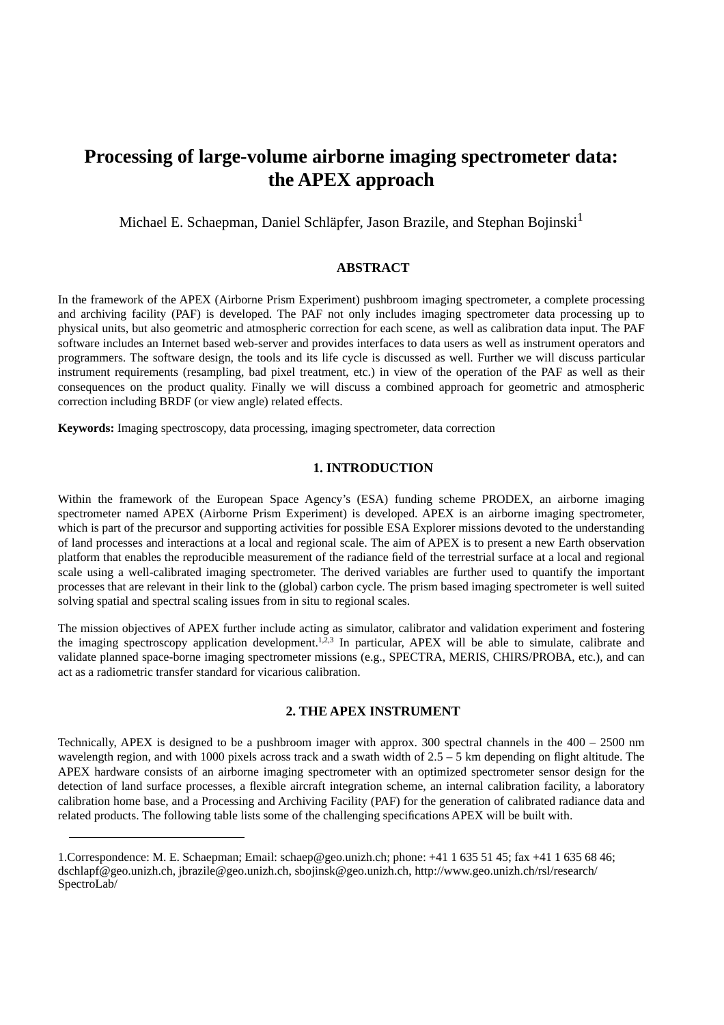# **Processing of large-volume airborne imaging spectrometer data: the APEX approach**

Michael E. Schaepman, Daniel Schläpfer, Jason Brazile, and Stephan Bojinski<sup>1</sup>

# **ABSTRACT**

In the framework of the APEX (Airborne Prism Experiment) pushbroom imaging spectrometer, a complete processing and archiving facility (PAF) is developed. The PAF not only includes imaging spectrometer data processing up to physical units, but also geometric and atmospheric correction for each scene, as well as calibration data input. The PAF software includes an Internet based web-server and provides interfaces to data users as well as instrument operators and programmers. The software design, the tools and its life cycle is discussed as well. Further we will discuss particular instrument requirements (resampling, bad pixel treatment, etc.) in view of the operation of the PAF as well as their consequences on the product quality. Finally we will discuss a combined approach for geometric and atmospheric correction including BRDF (or view angle) related effects.

**Keywords:** Imaging spectroscopy, data processing, imaging spectrometer, data correction

# **1. INTRODUCTION**

Within the framework of the European Space Agency's (ESA) funding scheme PRODEX, an airborne imaging spectrometer named APEX (Airborne Prism Experiment) is developed. APEX is an airborne imaging spectrometer, which is part of the precursor and supporting activities for possible ESA Explorer missions devoted to the understanding of land processes and interactions at a local and regional scale. The aim of APEX is to present a new Earth observation platform that enables the reproducible measurement of the radiance field of the terrestrial surface at a local and regional scale using a well-calibrated imaging spectrometer. The derived variables are further used to quantify the important processes that are relevant in their link to the (global) carbon cycle. The prism based imaging spectrometer is well suited solving spatial and spectral scaling issues from in situ to regional scales.

The mission objectives of APEX further include acting as simulator, calibrator and validation experiment and fostering the imaging spectroscopy application development.<sup>1,2,3</sup> In particular, APEX will be able to simulate, calibrate and validate planned space-borne imaging spectrometer missions (e.g., SPECTRA, MERIS, CHIRS/PROBA, etc.), and can act as a radiometric transfer standard for vicarious calibration.

# **2. THE APEX INSTRUMENT**

Technically, APEX is designed to be a pushbroom imager with approx. 300 spectral channels in the 400 – 2500 nm wavelength region, and with 1000 pixels across track and a swath width of  $2.5 - 5$  km depending on flight altitude. The APEX hardware consists of an airborne imaging spectrometer with an optimized spectrometer sensor design for the detection of land surface processes, a flexible aircraft integration scheme, an internal calibration facility, a laboratory calibration home base, and a Processing and Archiving Facility (PAF) for the generation of calibrated radiance data and related products. The following table lists some of the challenging specifications APEX will be built with.

<sup>1.</sup>Correspondence: M. E. Schaepman; Email: schaep@geo.unizh.ch; phone: +41 1 635 51 45; fax +41 1 635 68 46; dschlapf@geo.unizh.ch, jbrazile@geo.unizh.ch, sbojinsk@geo.unizh.ch, http://www.geo.unizh.ch/rsl/research/ SpectroLab/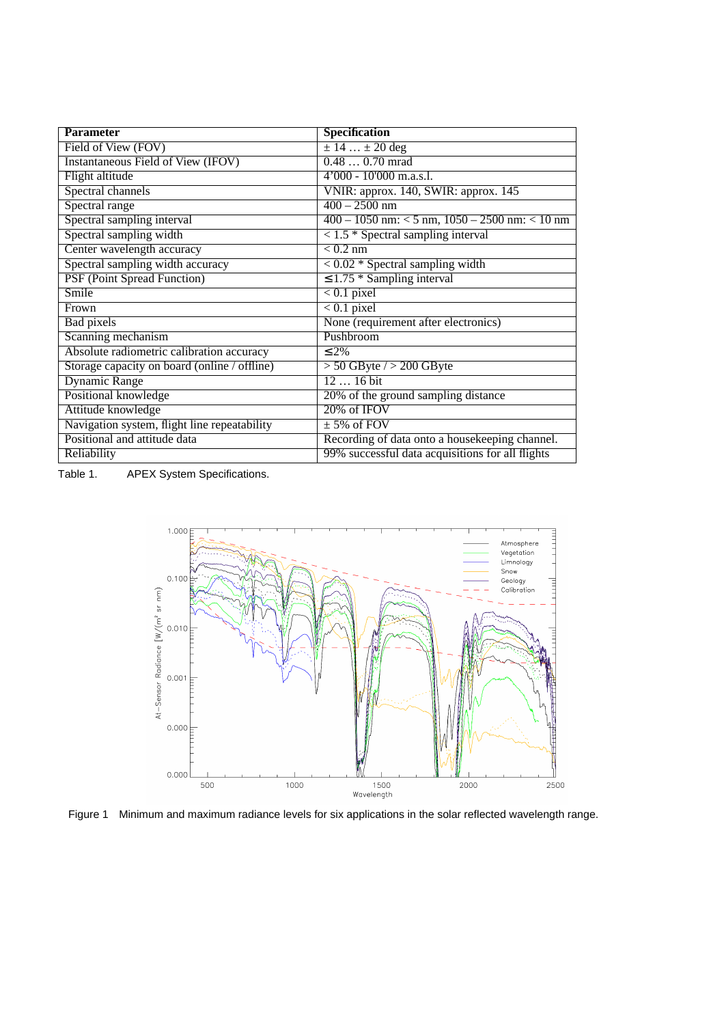| <b>Parameter</b>                             | <b>Specification</b>                                   |  |
|----------------------------------------------|--------------------------------------------------------|--|
| Field of View (FOV)                          | $\pm 14  \pm 20$ deg                                   |  |
| <b>Instantaneous Field of View (IFOV)</b>    | $0.480.70$ mrad                                        |  |
| Flight altitude                              | $4'000 - 10'000$ m.a.s.l.                              |  |
| Spectral channels                            | VNIR: approx. 140, SWIR: approx. 145                   |  |
| Spectral range                               | $\sqrt{400-2500}$ nm                                   |  |
| Spectral sampling interval                   | $400 - 1050$ nm: $< 5$ nm, $1050 - 2500$ nm: $< 10$ nm |  |
| Spectral sampling width                      | $\langle 1.5 * Spectral sampling interval$             |  |
| Center wavelength accuracy                   | $\leq 0.2$ nm                                          |  |
| Spectral sampling width accuracy             | $< 0.02$ * Spectral sampling width                     |  |
| <b>PSF</b> (Point Spread Function)           | $\leq$ 1.75 $*$ Sampling interval                      |  |
| Smile                                        | $< 0.1$ pixel                                          |  |
| Frown                                        | $< 0.1$ pixel                                          |  |
| Bad pixels                                   | None (requirement after electronics)                   |  |
| Scanning mechanism                           | Pushbroom                                              |  |
| Absolute radiometric calibration accuracy    | $\leq 2\%$                                             |  |
| Storage capacity on board (online / offline) | $> 50$ GByte $/ > 200$ GByte                           |  |
| Dynamic Range                                | $1216$ bit                                             |  |
| Positional knowledge                         | 20% of the ground sampling distance                    |  |
| Attitude knowledge                           | 20% of IFOV                                            |  |
| Navigation system, flight line repeatability | $± 5\%$ of FOV                                         |  |
| Positional and attitude data                 | Recording of data onto a housekeeping channel.         |  |
| Reliability                                  | 99% successful data acquisitions for all flights       |  |

Table 1. APEX System Specifications.



Figure 1 Minimum and maximum radiance levels for six applications in the solar reflected wavelength range.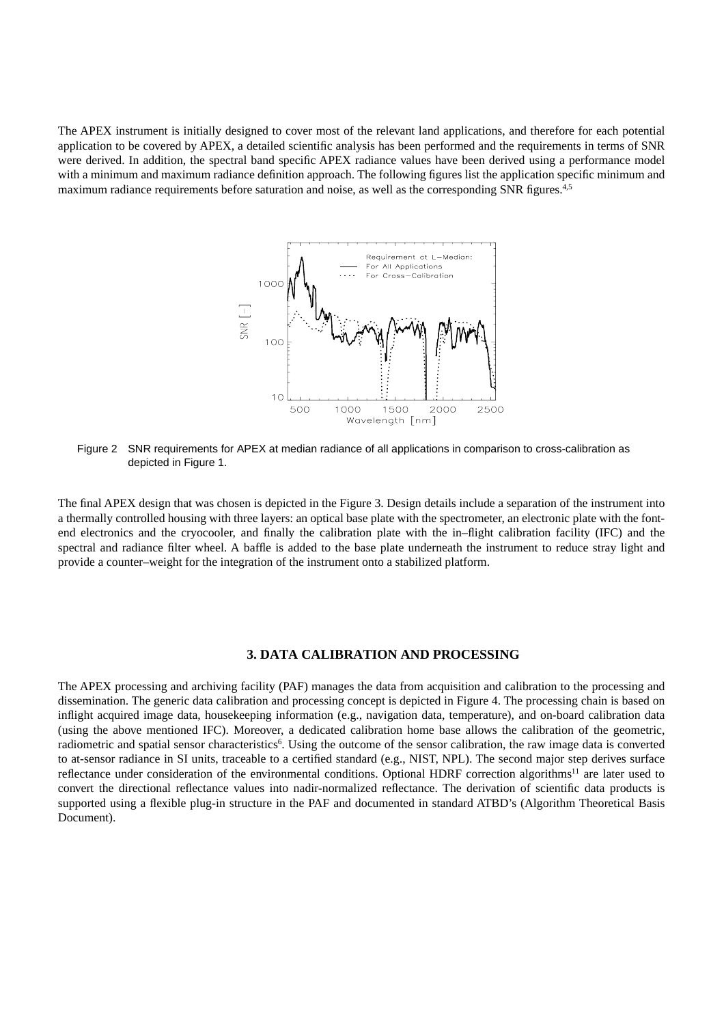The APEX instrument is initially designed to cover most of the relevant land applications, and therefore for each potential application to be covered by APEX, a detailed scientific analysis has been performed and the requirements in terms of SNR were derived. In addition, the spectral band specific APEX radiance values have been derived using a performance model with a minimum and maximum radiance definition approach. The following figures list the application specific minimum and maximum radiance requirements before saturation and noise, as well as the corresponding SNR figures.<sup>4,5</sup>



Figure 2 SNR requirements for APEX at median radiance of all applications in comparison to cross-calibration as depicted in Figure 1.

The final APEX design that was chosen is depicted in the Figure 3. Design details include a separation of the instrument into a thermally controlled housing with three layers: an optical base plate with the spectrometer, an electronic plate with the fontend electronics and the cryocooler, and finally the calibration plate with the in–flight calibration facility (IFC) and the spectral and radiance filter wheel. A baffle is added to the base plate underneath the instrument to reduce stray light and provide a counter–weight for the integration of the instrument onto a stabilized platform.

#### **3. DATA CALIBRATION AND PROCESSING**

The APEX processing and archiving facility (PAF) manages the data from acquisition and calibration to the processing and dissemination. The generic data calibration and processing concept is depicted in Figure 4. The processing chain is based on inflight acquired image data, housekeeping information (e.g., navigation data, temperature), and on-board calibration data (using the above mentioned IFC). Moreover, a dedicated calibration home base allows the calibration of the geometric, radiometric and spatial sensor characteristics<sup>6</sup>. Using the outcome of the sensor calibration, the raw image data is converted to at-sensor radiance in SI units, traceable to a certified standard (e.g., NIST, NPL). The second major step derives surface reflectance under consideration of the environmental conditions. Optional HDRF correction algorithms11 are later used to convert the directional reflectance values into nadir-normalized reflectance. The derivation of scientific data products is supported using a flexible plug-in structure in the PAF and documented in standard ATBD's (Algorithm Theoretical Basis Document).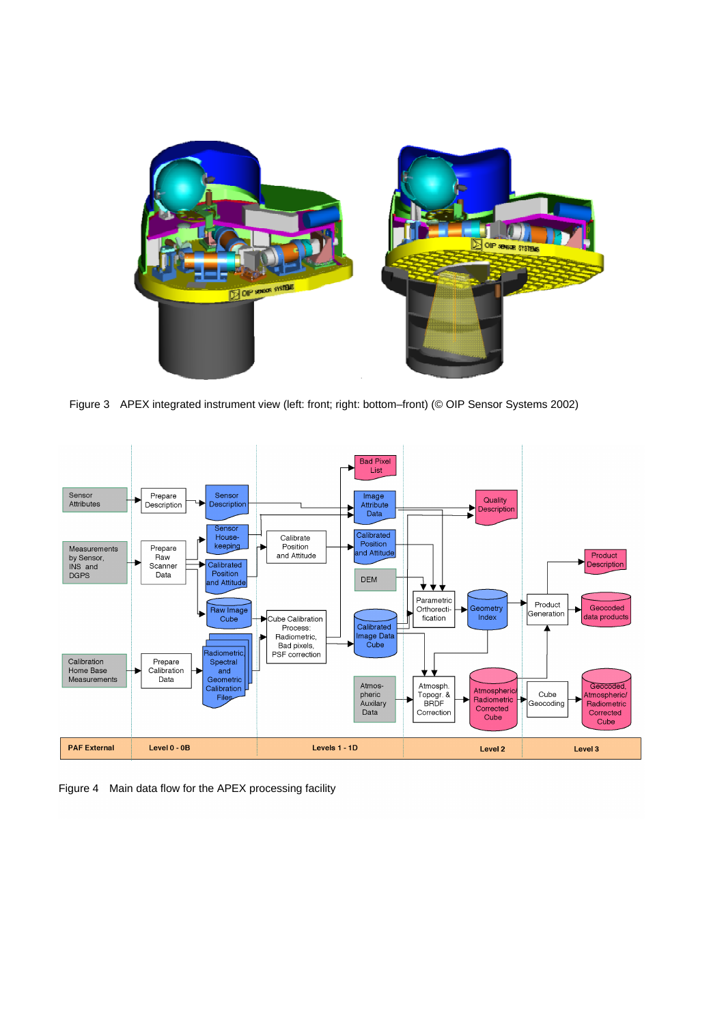

Figure 3 APEX integrated instrument view (left: front; right: bottom–front) (© OIP Sensor Systems 2002)



Figure 4 Main data flow for the APEX processing facility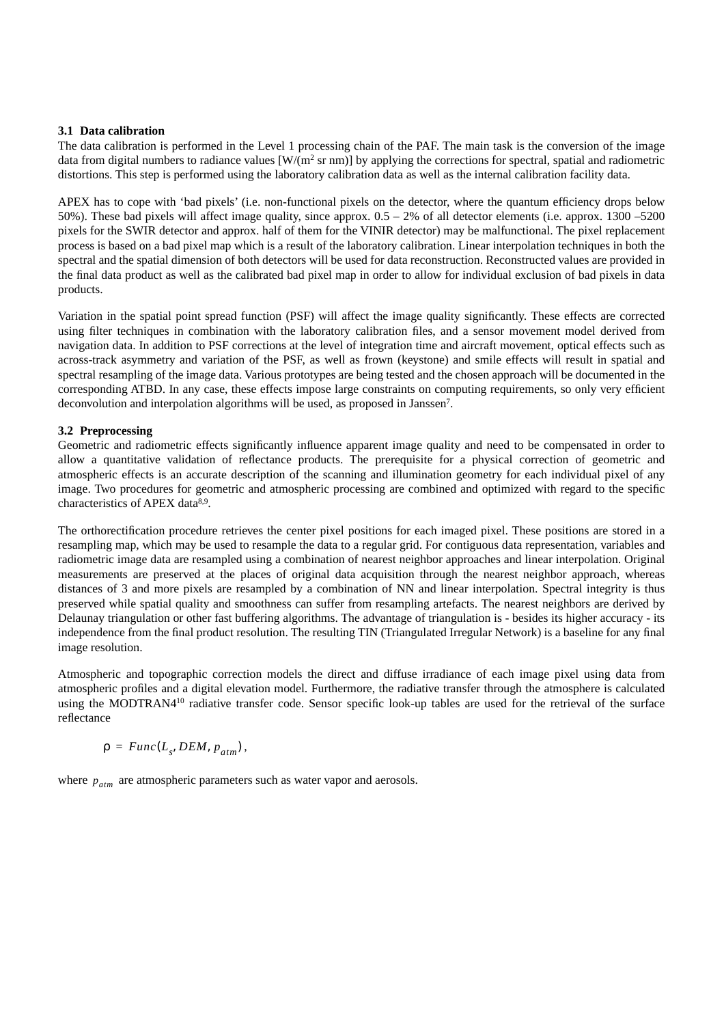#### **3.1 Data calibration**

The data calibration is performed in the Level 1 processing chain of the PAF. The main task is the conversion of the image data from digital numbers to radiance values  $[W/(m^2 \text{ sr nm})]$  by applying the corrections for spectral, spatial and radiometric distortions. This step is performed using the laboratory calibration data as well as the internal calibration facility data.

APEX has to cope with 'bad pixels' (i.e. non-functional pixels on the detector, where the quantum efficiency drops below 50%). These bad pixels will affect image quality, since approx. 0.5 – 2% of all detector elements (i.e. approx. 1300 –5200 pixels for the SWIR detector and approx. half of them for the VINIR detector) may be malfunctional. The pixel replacement process is based on a bad pixel map which is a result of the laboratory calibration. Linear interpolation techniques in both the spectral and the spatial dimension of both detectors will be used for data reconstruction. Reconstructed values are provided in the final data product as well as the calibrated bad pixel map in order to allow for individual exclusion of bad pixels in data products.

Variation in the spatial point spread function (PSF) will affect the image quality significantly. These effects are corrected using filter techniques in combination with the laboratory calibration files, and a sensor movement model derived from navigation data. In addition to PSF corrections at the level of integration time and aircraft movement, optical effects such as across-track asymmetry and variation of the PSF, as well as frown (keystone) and smile effects will result in spatial and spectral resampling of the image data. Various prototypes are being tested and the chosen approach will be documented in the corresponding ATBD. In any case, these effects impose large constraints on computing requirements, so only very efficient deconvolution and interpolation algorithms will be used, as proposed in Janssen<sup>7</sup>.

# **3.2 Preprocessing**

Geometric and radiometric effects significantly influence apparent image quality and need to be compensated in order to allow a quantitative validation of reflectance products. The prerequisite for a physical correction of geometric and atmospheric effects is an accurate description of the scanning and illumination geometry for each individual pixel of any image. Two procedures for geometric and atmospheric processing are combined and optimized with regard to the specific characteristics of APEX data<sup>8,9</sup>.

The orthorectification procedure retrieves the center pixel positions for each imaged pixel. These positions are stored in a resampling map, which may be used to resample the data to a regular grid. For contiguous data representation, variables and radiometric image data are resampled using a combination of nearest neighbor approaches and linear interpolation. Original measurements are preserved at the places of original data acquisition through the nearest neighbor approach, whereas distances of 3 and more pixels are resampled by a combination of NN and linear interpolation. Spectral integrity is thus preserved while spatial quality and smoothness can suffer from resampling artefacts. The nearest neighbors are derived by Delaunay triangulation or other fast buffering algorithms. The advantage of triangulation is - besides its higher accuracy - its independence from the final product resolution. The resulting TIN (Triangulated Irregular Network) is a baseline for any final image resolution.

Atmospheric and topographic correction models the direct and diffuse irradiance of each image pixel using data from atmospheric profiles and a digital elevation model. Furthermore, the radiative transfer through the atmosphere is calculated using the MODTRAN4<sup>10</sup> radiative transfer code. Sensor specific look-up tables are used for the retrieval of the surface reflectance

# $\rho = Func(L<sub>s</sub>, DEM, p<sub>atm</sub>)$ ,

where  $p_{atm}$  are atmospheric parameters such as water vapor and aerosols.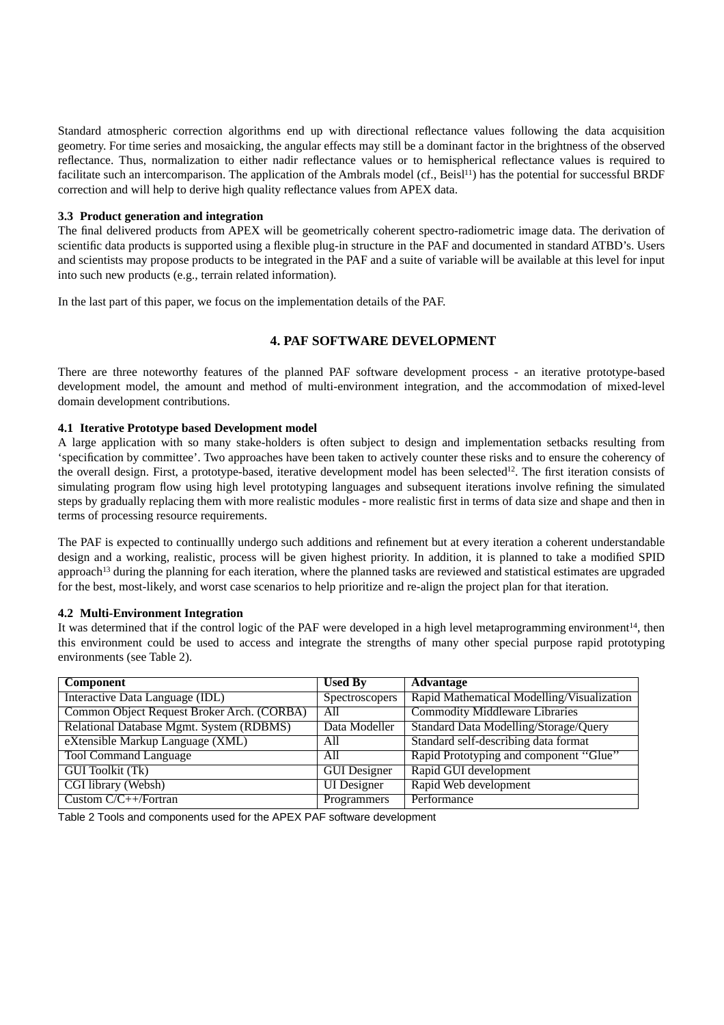Standard atmospheric correction algorithms end up with directional reflectance values following the data acquisition geometry. For time series and mosaicking, the angular effects may still be a dominant factor in the brightness of the observed reflectance. Thus, normalization to either nadir reflectance values or to hemispherical reflectance values is required to facilitate such an intercomparison. The application of the Ambrals model (cf., Beisl $^{11}$ ) has the potential for successful BRDF correction and will help to derive high quality reflectance values from APEX data.

#### **3.3 Product generation and integration**

The final delivered products from APEX will be geometrically coherent spectro-radiometric image data. The derivation of scientific data products is supported using a flexible plug-in structure in the PAF and documented in standard ATBD's. Users and scientists may propose products to be integrated in the PAF and a suite of variable will be available at this level for input into such new products (e.g., terrain related information).

In the last part of this paper, we focus on the implementation details of the PAF.

# **4. PAF SOFTWARE DEVELOPMENT**

There are three noteworthy features of the planned PAF software development process - an iterative prototype-based development model, the amount and method of multi-environment integration, and the accommodation of mixed-level domain development contributions.

#### **4.1 Iterative Prototype based Development model**

A large application with so many stake-holders is often subject to design and implementation setbacks resulting from 'specification by committee'. Two approaches have been taken to actively counter these risks and to ensure the coherency of the overall design. First, a prototype-based, iterative development model has been selected<sup>12</sup>. The first iteration consists of simulating program flow using high level prototyping languages and subsequent iterations involve refining the simulated steps by gradually replacing them with more realistic modules - more realistic first in terms of data size and shape and then in terms of processing resource requirements.

The PAF is expected to continuallly undergo such additions and refinement but at every iteration a coherent understandable design and a working, realistic, process will be given highest priority. In addition, it is planned to take a modified SPID approach<sup>13</sup> during the planning for each iteration, where the planned tasks are reviewed and statistical estimates are upgraded for the best, most-likely, and worst case scenarios to help prioritize and re-align the project plan for that iteration.

# **4.2 Multi-Environment Integration**

It was determined that if the control logic of the PAF were developed in a high level metaprogramming environment<sup>14</sup>, then this environment could be used to access and integrate the strengths of many other special purpose rapid prototyping environments (see Table 2).

| <b>Component</b>                           | <b>Used By</b>      | <b>Advantage</b>                           |
|--------------------------------------------|---------------------|--------------------------------------------|
| Interactive Data Language (IDL)            | Spectroscopers      | Rapid Mathematical Modelling/Visualization |
| Common Object Request Broker Arch. (CORBA) | All                 | <b>Commodity Middleware Libraries</b>      |
| Relational Database Mgmt. System (RDBMS)   | Data Modeller       | Standard Data Modelling/Storage/Query      |
| eXtensible Markup Language (XML)           | All                 | Standard self-describing data format       |
| <b>Tool Command Language</b>               | All                 | Rapid Prototyping and component "Glue"     |
| <b>GUI Toolkit (Tk)</b>                    | <b>GUI Designer</b> | Rapid GUI development                      |
| CGI library (Websh)                        | <b>UI</b> Designer  | Rapid Web development                      |
| Custom $C/C++/Fortran$                     | Programmers         | Performance                                |

Table 2 Tools and components used for the APEX PAF software development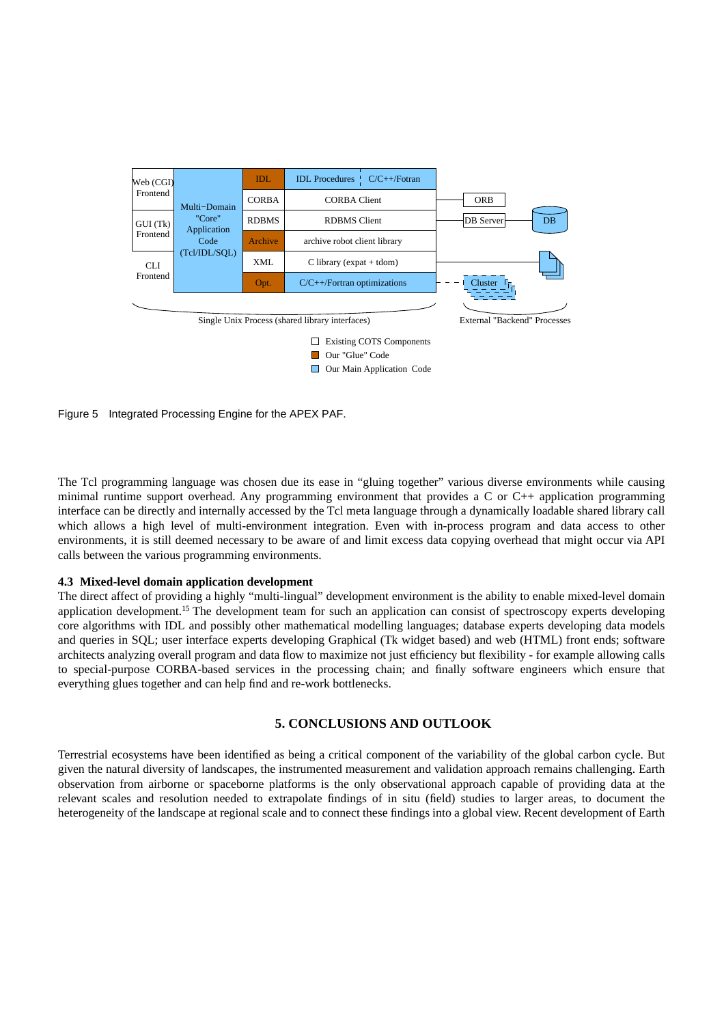

Figure 5 Integrated Processing Engine for the APEX PAF.

The Tcl programming language was chosen due its ease in "gluing together" various diverse environments while causing minimal runtime support overhead. Any programming environment that provides a C or C++ application programming interface can be directly and internally accessed by the Tcl meta language through a dynamically loadable shared library call which allows a high level of multi-environment integration. Even with in-process program and data access to other environments, it is still deemed necessary to be aware of and limit excess data copying overhead that might occur via API calls between the various programming environments.

#### **4.3 Mixed-level domain application development**

The direct affect of providing a highly "multi-lingual" development environment is the ability to enable mixed-level domain application development.15 The development team for such an application can consist of spectroscopy experts developing core algorithms with IDL and possibly other mathematical modelling languages; database experts developing data models and queries in SQL; user interface experts developing Graphical (Tk widget based) and web (HTML) front ends; software architects analyzing overall program and data flow to maximize not just efficiency but flexibility - for example allowing calls to special-purpose CORBA-based services in the processing chain; and finally software engineers which ensure that everything glues together and can help find and re-work bottlenecks.

#### **5. CONCLUSIONS AND OUTLOOK**

Terrestrial ecosystems have been identified as being a critical component of the variability of the global carbon cycle. But given the natural diversity of landscapes, the instrumented measurement and validation approach remains challenging. Earth observation from airborne or spaceborne platforms is the only observational approach capable of providing data at the relevant scales and resolution needed to extrapolate findings of in situ (field) studies to larger areas, to document the heterogeneity of the landscape at regional scale and to connect these findings into a global view. Recent development of Earth